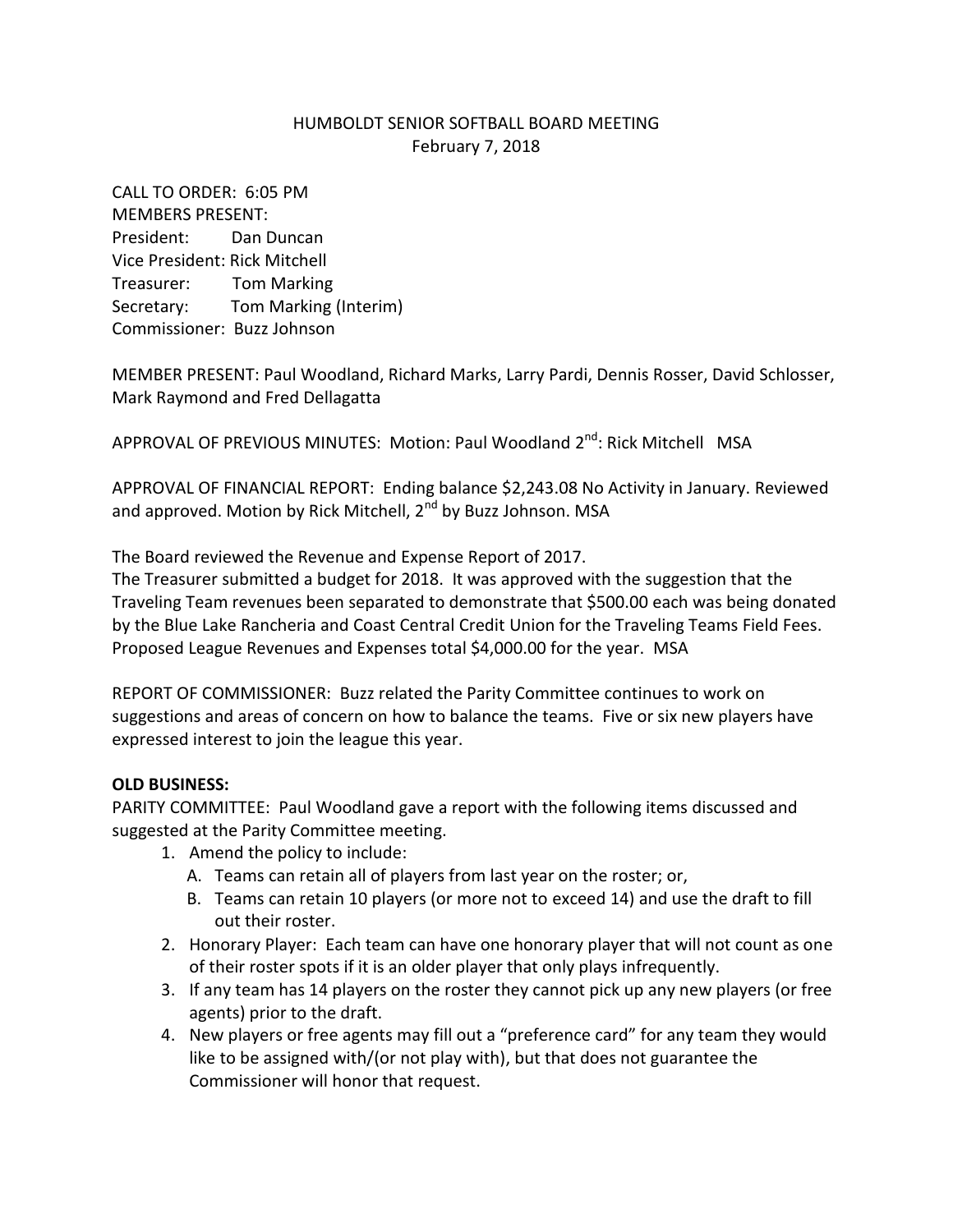## HUMBOLDT SENIOR SOFTBALL BOARD MEETING February 7, 2018

CALL TO ORDER: 6:05 PM MEMBERS PRESENT: President: Dan Duncan Vice President: Rick Mitchell Treasurer: Tom Marking Secretary: Tom Marking (Interim) Commissioner: Buzz Johnson

MEMBER PRESENT: Paul Woodland, Richard Marks, Larry Pardi, Dennis Rosser, David Schlosser, Mark Raymond and Fred Dellagatta

APPROVAL OF PREVIOUS MINUTES: Motion: Paul Woodland 2<sup>nd</sup>: Rick Mitchell MSA

APPROVAL OF FINANCIAL REPORT: Ending balance \$2,243.08 No Activity in January. Reviewed and approved. Motion by Rick Mitchell, 2<sup>nd</sup> by Buzz Johnson. MSA

The Board reviewed the Revenue and Expense Report of 2017.

The Treasurer submitted a budget for 2018. It was approved with the suggestion that the Traveling Team revenues been separated to demonstrate that \$500.00 each was being donated by the Blue Lake Rancheria and Coast Central Credit Union for the Traveling Teams Field Fees. Proposed League Revenues and Expenses total \$4,000.00 for the year. MSA

REPORT OF COMMISSIONER: Buzz related the Parity Committee continues to work on suggestions and areas of concern on how to balance the teams. Five or six new players have expressed interest to join the league this year.

## **OLD BUSINESS:**

PARITY COMMITTEE: Paul Woodland gave a report with the following items discussed and suggested at the Parity Committee meeting.

- 1. Amend the policy to include:
	- A. Teams can retain all of players from last year on the roster; or,
	- B. Teams can retain 10 players (or more not to exceed 14) and use the draft to fill out their roster.
- 2. Honorary Player: Each team can have one honorary player that will not count as one of their roster spots if it is an older player that only plays infrequently.
- 3. If any team has 14 players on the roster they cannot pick up any new players (or free agents) prior to the draft.
- 4. New players or free agents may fill out a "preference card" for any team they would like to be assigned with/(or not play with), but that does not guarantee the Commissioner will honor that request.